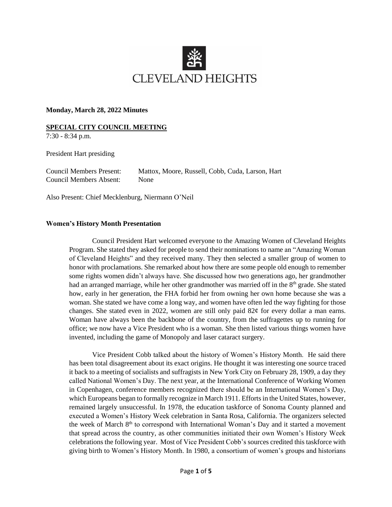

## **Monday, March 28, 2022 Minutes**

## **SPECIAL CITY COUNCIL MEETING**

7:30 - 8:34 p.m.

President Hart presiding

Council Members Absent: None

Council Members Present: Mattox, Moore, Russell, Cobb, Cuda, Larson, Hart

Also Present: Chief Mecklenburg, Niermann O'Neil

## **Women's History Month Presentation**

Council President Hart welcomed everyone to the Amazing Women of Cleveland Heights Program. She stated they asked for people to send their nominations to name an "Amazing Woman of Cleveland Heights" and they received many. They then selected a smaller group of women to honor with proclamations. She remarked about how there are some people old enough to remember some rights women didn't always have. She discussed how two generations ago, her grandmother had an arranged marriage, while her other grandmother was married off in the 8<sup>th</sup> grade. She stated how, early in her generation, the FHA forbid her from owning her own home because she was a woman. She stated we have come a long way, and women have often led the way fighting for those changes. She stated even in 2022, women are still only paid  $82¢$  for every dollar a man earns. Woman have always been the backbone of the country, from the suffragettes up to running for office; we now have a Vice President who is a woman. She then listed various things women have invented, including the game of Monopoly and laser cataract surgery.

Vice President Cobb talked about the history of Women's History Month. He said there has been total disagreement about its exact origins. He thought it was interesting one source traced it back to a meeting of socialists and suffragists in New York City on February 28, 1909, a day they called National Women's Day. The next year, at the International Conference of Working Women in Copenhagen, conference members recognized there should be an International Women's Day, which Europeans began to formally recognize in March 1911. Efforts in the United States, however, remained largely unsuccessful. In 1978, the education taskforce of Sonoma County planned and executed a Women's History Week celebration in Santa Rosa, California. The organizers selected the week of March 8<sup>th</sup> to correspond with International Woman's Day and it started a movement that spread across the country, as other communities initiated their own Women's History Week celebrations the following year. Most of Vice President Cobb's sources credited this taskforce with giving birth to Women's History Month. In 1980, a consortium of women's groups and historians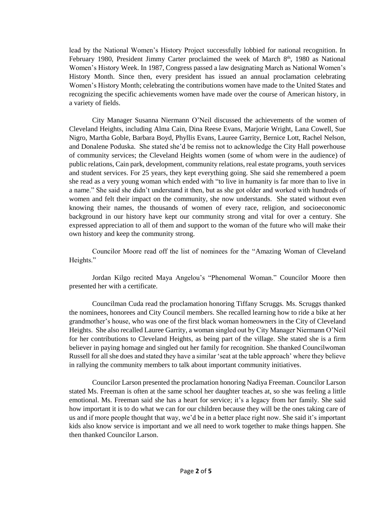lead by the National Women's History Project successfully lobbied for national recognition. In February 1980, President Jimmy Carter proclaimed the week of March 8<sup>th</sup>, 1980 as National Women's History Week. In 1987, Congress passed a law designating March as National Women's History Month. Since then, every president has issued an annual proclamation celebrating Women's History Month; celebrating the contributions women have made to the United States and recognizing the specific achievements women have made over the course of American history, in a variety of fields.

City Manager Susanna Niermann O'Neil discussed the achievements of the women of Cleveland Heights, including Alma Cain, Dina Reese Evans, Marjorie Wright, Lana Cowell, Sue Nigro, Martha Goble, Barbara Boyd, Phyllis Evans, Lauree Garrity, Bernice Lott, Rachel Nelson, and Donalene Poduska. She stated she'd be remiss not to acknowledge the City Hall powerhouse of community services; the Cleveland Heights women (some of whom were in the audience) of public relations, Cain park, development, community relations, real estate programs, youth services and student services. For 25 years, they kept everything going. She said she remembered a poem she read as a very young woman which ended with "to live in humanity is far more than to live in a name." She said she didn't understand it then, but as she got older and worked with hundreds of women and felt their impact on the community, she now understands. She stated without even knowing their names, the thousands of women of every race, religion, and socioeconomic background in our history have kept our community strong and vital for over a century. She expressed appreciation to all of them and support to the woman of the future who will make their own history and keep the community strong.

Councilor Moore read off the list of nominees for the "Amazing Woman of Cleveland Heights."

Jordan Kilgo recited Maya Angelou's "Phenomenal Woman." Councilor Moore then presented her with a certificate.

Councilman Cuda read the proclamation honoring Tiffany Scruggs. Ms. Scruggs thanked the nominees, honorees and City Council members. She recalled learning how to ride a bike at her grandmother's house, who was one of the first black woman homeowners in the City of Cleveland Heights. She also recalled Lauree Garrity, a woman singled out by City Manager Niermann O'Neil for her contributions to Cleveland Heights, as being part of the village. She stated she is a firm believer in paying homage and singled out her family for recognition. She thanked Councilwoman Russell for all she does and stated they have a similar 'seat at the table approach' where they believe in rallying the community members to talk about important community initiatives.

Councilor Larson presented the proclamation honoring Nadiya Freeman. Councilor Larson stated Ms. Freeman is often at the same school her daughter teaches at, so she was feeling a little emotional. Ms. Freeman said she has a heart for service; it's a legacy from her family. She said how important it is to do what we can for our children because they will be the ones taking care of us and if more people thought that way, we'd be in a better place right now. She said it's important kids also know service is important and we all need to work together to make things happen. She then thanked Councilor Larson.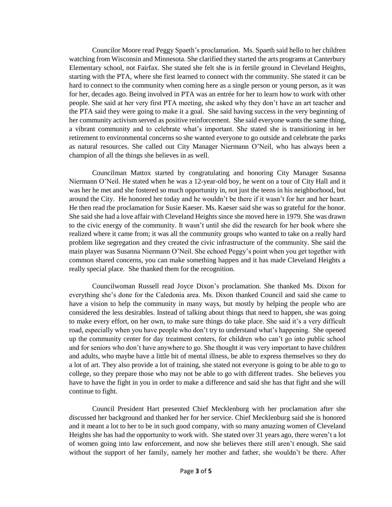Councilor Moore read Peggy Spaeth's proclamation. Ms. Spaeth said hello to her children watching from Wisconsin and Minnesota. She clarified they started the arts programs at Canterbury Elementary school, not Fairfax. She stated she felt she is in fertile ground in Cleveland Heights, starting with the PTA, where she first learned to connect with the community. She stated it can be hard to connect to the community when coming here as a single person or young person, as it was for her, decades ago. Being involved in PTA was an entrée for her to learn how to work with other people. She said at her very first PTA meeting, she asked why they don't have an art teacher and the PTA said they were going to make it a goal. She said having success in the very beginning of her community activism served as positive reinforcement. She said everyone wants the same thing, a vibrant community and to celebrate what's important. She stated she is transitioning in her retirement to environmental concerns so she wanted everyone to go outside and celebrate the parks as natural resources. She called out City Manager Niermann O'Neil, who has always been a champion of all the things she believes in as well.

Councilman Mattox started by congratulating and honoring City Manager Susanna Niermann O'Neil. He stated when he was a 12-year-old boy, he went on a tour of City Hall and it was her he met and she fostered so much opportunity in, not just the teens in his neighborhood, but around the City. He honored her today and he wouldn't be there if it wasn't for her and her heart. He then read the proclamation for Susie Kaeser. Ms. Kaeser said she was so grateful for the honor. She said she had a love affair with Cleveland Heights since she moved here in 1979. She was drawn to the civic energy of the community. It wasn't until she did the research for her book where she realized where it came from; it was all the community groups who wanted to take on a really hard problem like segregation and they created the civic infrastructure of the community. She said the main player was Susanna Niermann O'Neil. She echoed Peggy's point when you get together with common shared concerns, you can make something happen and it has made Cleveland Heights a really special place. She thanked them for the recognition.

Councilwoman Russell read Joyce Dixon's proclamation. She thanked Ms. Dixon for everything she's done for the Caledonia area. Ms. Dixon thanked Council and said she came to have a vision to help the community in many ways, but mostly by helping the people who are considered the less desirables. Instead of talking about things that need to happen, she was going to make every effort, on her own, to make sure things do take place. She said it's a very difficult road, especially when you have people who don't try to understand what's happening. She opened up the community center for day treatment centers, for children who can't go into public school and for seniors who don't have anywhere to go. She thought it was very important to have children and adults, who maybe have a little bit of mental illness, be able to express themselves so they do a lot of art. They also provide a lot of training, she stated not everyone is going to be able to go to college, so they prepare those who may not be able to go with different trades. She believes you have to have the fight in you in order to make a difference and said she has that fight and she will continue to fight.

Council President Hart presented Chief Mecklenburg with her proclamation after she discussed her background and thanked her for her service. Chief Mecklenburg said she is honored and it meant a lot to her to be in such good company, with so many amazing women of Cleveland Heights she has had the opportunity to work with. She stated over 31 years ago, there weren't a lot of women going into law enforcement, and now she believes there still aren't enough. She said without the support of her family, namely her mother and father, she wouldn't be there. After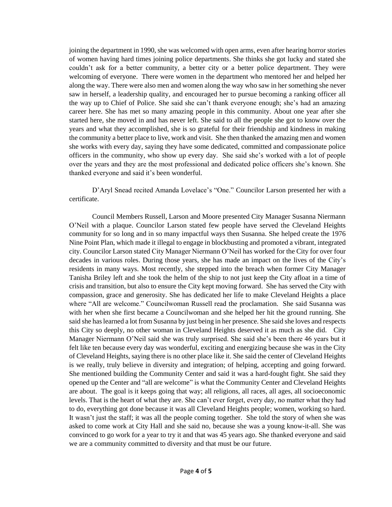joining the department in 1990, she was welcomed with open arms, even after hearing horror stories of women having hard times joining police departments. She thinks she got lucky and stated she couldn't ask for a better community, a better city or a better police department. They were welcoming of everyone. There were women in the department who mentored her and helped her along the way. There were also men and women along the way who saw in her something she never saw in herself, a leadership quality, and encouraged her to pursue becoming a ranking officer all the way up to Chief of Police. She said she can't thank everyone enough; she's had an amazing career here. She has met so many amazing people in this community. About one year after she started here, she moved in and has never left. She said to all the people she got to know over the years and what they accomplished, she is so grateful for their friendship and kindness in making the community a better place to live, work and visit. She then thanked the amazing men and women she works with every day, saying they have some dedicated, committed and compassionate police officers in the community, who show up every day. She said she's worked with a lot of people over the years and they are the most professional and dedicated police officers she's known. She thanked everyone and said it's been wonderful.

D'Aryl Snead recited Amanda Lovelace's "One." Councilor Larson presented her with a certificate.

Council Members Russell, Larson and Moore presented City Manager Susanna Niermann O'Neil with a plaque. Councilor Larson stated few people have served the Cleveland Heights community for so long and in so many impactful ways then Susanna. She helped create the 1976 Nine Point Plan, which made it illegal to engage in blockbusting and promoted a vibrant, integrated city. Councilor Larson stated City Manager Niermann O'Neil has worked for the City for over four decades in various roles. During those years, she has made an impact on the lives of the City's residents in many ways. Most recently, she stepped into the breach when former City Manager Tanisha Briley left and she took the helm of the ship to not just keep the City afloat in a time of crisis and transition, but also to ensure the City kept moving forward. She has served the City with compassion, grace and generosity. She has dedicated her life to make Cleveland Heights a place where "All are welcome." Councilwoman Russell read the proclamation. She said Susanna was with her when she first became a Councilwoman and she helped her hit the ground running. She said she has learned a lot from Susanna by just being in her presence. She said she loves and respects this City so deeply, no other woman in Cleveland Heights deserved it as much as she did. City Manager Niermann O'Neil said she was truly surprised. She said she's been there 46 years but it felt like ten because every day was wonderful, exciting and energizing because she was in the City of Cleveland Heights, saying there is no other place like it. She said the center of Cleveland Heights is we really, truly believe in diversity and integration; of helping, accepting and going forward. She mentioned building the Community Center and said it was a hard-fought fight. She said they opened up the Center and "all are welcome" is what the Community Center and Cleveland Heights are about. The goal is it keeps going that way; all religions, all races, all ages, all socioeconomic levels. That is the heart of what they are. She can't ever forget, every day, no matter what they had to do, everything got done because it was all Cleveland Heights people; women, working so hard. It wasn't just the staff; it was all the people coming together. She told the story of when she was asked to come work at City Hall and she said no, because she was a young know-it-all. She was convinced to go work for a year to try it and that was 45 years ago. She thanked everyone and said we are a community committed to diversity and that must be our future.